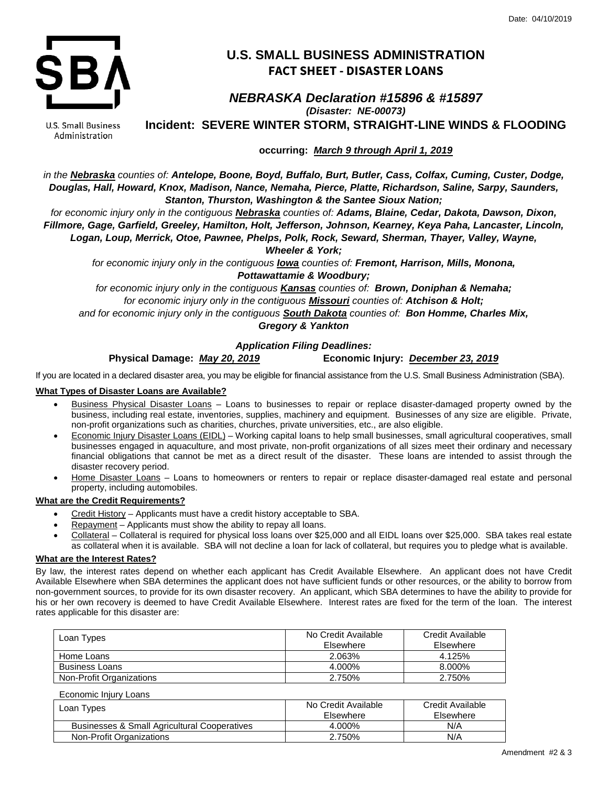

## **U.S. SMALL BUSINESS ADMINISTRATION FACT SHEET - DISASTER LOANS**

# *NEBRASKA Declaration #15896 & #15897*

*(Disaster: NE-00073)*

**Incident: SEVERE WINTER STORM, STRAIGHT-LINE WINDS & FLOODING**

U.S. Small Business Administration

**occurring:** *March 9 through April 1, 2019*

*in the Nebraska counties of: Antelope, Boone, Boyd, Buffalo, Burt, Butler, Cass, Colfax, Cuming, Custer, Dodge, Douglas, Hall, Howard, Knox, Madison, Nance, Nemaha, Pierce, Platte, Richardson, Saline, Sarpy, Saunders, Stanton, Thurston, Washington & the Santee Sioux Nation;*

*for economic injury only in the contiguous Nebraska counties of: Adams, Blaine, Cedar, Dakota, Dawson, Dixon, Fillmore, Gage, Garfield, Greeley, Hamilton, Holt, Jefferson, Johnson, Kearney, Keya Paha, Lancaster, Lincoln, Logan, Loup, Merrick, Otoe, Pawnee, Phelps, Polk, Rock, Seward, Sherman, Thayer, Valley, Wayne,*

*Wheeler & York;*

*for economic injury only in the contiguous Iowa counties of: Fremont, Harrison, Mills, Monona, Pottawattamie & Woodbury;*

*for economic injury only in the contiguous Kansas counties of: Brown, Doniphan & Nemaha; for economic injury only in the contiguous Missouri counties of: Atchison & Holt; and for economic injury only in the contiguous South Dakota counties of: Bon Homme, Charles Mix, Gregory & Yankton*

#### *Application Filing Deadlines:*

### **Physical Damage:** *May 20, 2019* **Economic Injury:** *December 23, 2019*

If you are located in a declared disaster area, you may be eligible for financial assistance from the U.S. Small Business Administration (SBA).

#### **What Types of Disaster Loans are Available?**

- Business Physical Disaster Loans Loans to businesses to repair or replace disaster-damaged property owned by the business, including real estate, inventories, supplies, machinery and equipment. Businesses of any size are eligible. Private, non-profit organizations such as charities, churches, private universities, etc., are also eligible.
- Economic Injury Disaster Loans (EIDL) Working capital loans to help small businesses, small agricultural cooperatives, small businesses engaged in aquaculture, and most private, non-profit organizations of all sizes meet their ordinary and necessary financial obligations that cannot be met as a direct result of the disaster. These loans are intended to assist through the disaster recovery period.
- Home Disaster Loans Loans to homeowners or renters to repair or replace disaster-damaged real estate and personal property, including automobiles.

#### **What are the Credit Requirements?**

- Credit History Applicants must have a credit history acceptable to SBA.
- Repayment Applicants must show the ability to repay all loans.
- Collateral Collateral is required for physical loss loans over \$25,000 and all EIDL loans over \$25,000. SBA takes real estate as collateral when it is available. SBA will not decline a loan for lack of collateral, but requires you to pledge what is available.

#### **What are the Interest Rates?**

By law, the interest rates depend on whether each applicant has Credit Available Elsewhere. An applicant does not have Credit Available Elsewhere when SBA determines the applicant does not have sufficient funds or other resources, or the ability to borrow from non-government sources, to provide for its own disaster recovery. An applicant, which SBA determines to have the ability to provide for his or her own recovery is deemed to have Credit Available Elsewhere. Interest rates are fixed for the term of the loan. The interest rates applicable for this disaster are:

| Loan Types               | No Credit Available<br>Elsewhere | Credit Available<br>Elsewhere |
|--------------------------|----------------------------------|-------------------------------|
| Home Loans               | 2.063%                           | 4.125%                        |
| <b>Business Loans</b>    | 4.000%                           | 8.000%                        |
| Non-Profit Organizations | 2.750%                           | 2.750%                        |

Economic Injury Loans

| Loan Types                                   | No Credit Available<br>Elsewhere | Credit Available<br>Elsewhere |
|----------------------------------------------|----------------------------------|-------------------------------|
| Businesses & Small Agricultural Cooperatives | 4.000%                           | N/A                           |
| Non-Profit Organizations                     | 2.750%                           | N/A                           |